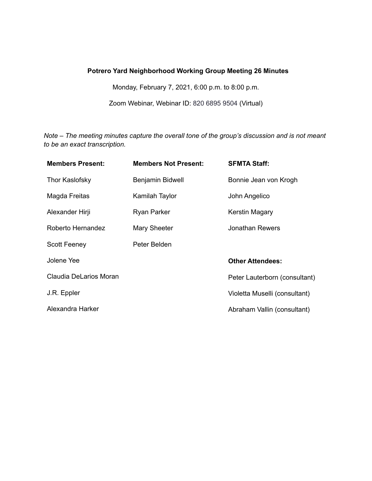# **Potrero Yard Neighborhood Working Group Meeting 26 Minutes**

Monday, February 7, 2021, 6:00 p.m. to 8:00 p.m.

Zoom Webinar, Webinar ID: 820 6895 9504 (Virtual)

*Note – The meeting minutes capture the overall tone of the group's discussion and is not meant to be an exact transcription.*

| <b>Members Present:</b> | <b>Members Not Present:</b> | <b>SFMTA Staff:</b>           |
|-------------------------|-----------------------------|-------------------------------|
| Thor Kaslofsky          | Benjamin Bidwell            | Bonnie Jean von Krogh         |
| Magda Freitas           | Kamilah Taylor              | John Angelico                 |
| Alexander Hirji         | Ryan Parker                 | Kerstin Magary                |
| Roberto Hernandez       | Mary Sheeter                | Jonathan Rewers               |
| <b>Scott Feeney</b>     | Peter Belden                |                               |
| Jolene Yee              |                             | <b>Other Attendees:</b>       |
| Claudia DeLarios Moran  |                             | Peter Lauterborn (consultant) |
| J.R. Eppler             |                             | Violetta Muselli (consultant) |
| Alexandra Harker        |                             | Abraham Vallin (consultant)   |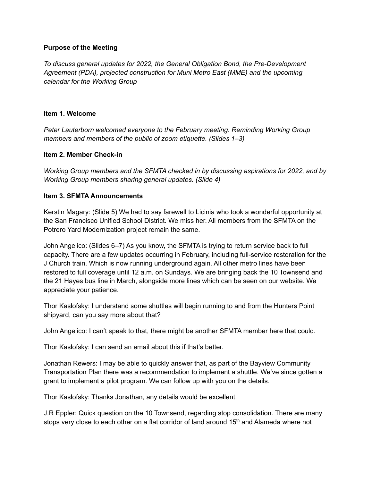### **Purpose of the Meeting**

*To discuss general updates for 2022, the General Obligation Bond, the Pre-Development Agreement (PDA), projected construction for Muni Metro East (MME) and the upcoming calendar for the Working Group*

#### **Item 1. Welcome**

*Peter Lauterborn welcomed everyone to the February meeting. Reminding Working Group members and members of the public of zoom etiquette. (Slides 1–3)*

### **Item 2. Member Check-in**

*Working Group members and the SFMTA checked in by discussing aspirations for 2022, and by Working Group members sharing general updates. (Slide 4)*

### **Item 3. SFMTA Announcements**

Kerstin Magary: (Slide 5) We had to say farewell to Licinia who took a wonderful opportunity at the San Francisco Unified School District. We miss her. All members from the SFMTA on the Potrero Yard Modernization project remain the same.

John Angelico: (Slides 6–7) As you know, the SFMTA is trying to return service back to full capacity. There are a few updates occurring in February, including full-service restoration for the J Church train. Which is now running underground again. All other metro lines have been restored to full coverage until 12 a.m. on Sundays. We are bringing back the 10 Townsend and the 21 Hayes bus line in March, alongside more lines which can be seen on our website. We appreciate your patience.

Thor Kaslofsky: I understand some shuttles will begin running to and from the Hunters Point shipyard, can you say more about that?

John Angelico: I can't speak to that, there might be another SFMTA member here that could.

Thor Kaslofsky: I can send an email about this if that's better.

Jonathan Rewers: I may be able to quickly answer that, as part of the Bayview Community Transportation Plan there was a recommendation to implement a shuttle. We've since gotten a grant to implement a pilot program. We can follow up with you on the details.

Thor Kaslofsky: Thanks Jonathan, any details would be excellent.

J.R Eppler: Quick question on the 10 Townsend, regarding stop consolidation. There are many stops very close to each other on a flat corridor of land around 15<sup>th</sup> and Alameda where not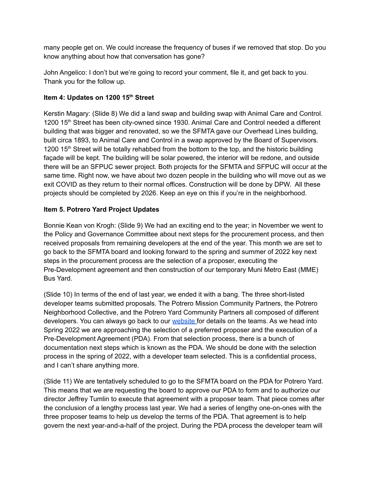many people get on. We could increase the frequency of buses if we removed that stop. Do you know anything about how that conversation has gone?

John Angelico: I don't but we're going to record your comment, file it, and get back to you. Thank you for the follow up.

### **Item 4: Updates on 1200 15 th Street**

Kerstin Magary: (Slide 8) We did a land swap and building swap with Animal Care and Control. 1200 15<sup>th</sup> Street has been city-owned since 1930. Animal Care and Control needed a different building that was bigger and renovated, so we the SFMTA gave our Overhead Lines building, built circa 1893, to Animal Care and Control in a swap approved by the Board of Supervisors. 1200 15<sup>th</sup> Street will be totally rehabbed from the bottom to the top, and the historic building façade will be kept. The building will be solar powered, the interior will be redone, and outside there will be an SFPUC sewer project. Both projects for the SFMTA and SFPUC will occur at the same time. Right now, we have about two dozen people in the building who will move out as we exit COVID as they return to their normal offices. Construction will be done by DPW. All these projects should be completed by 2026. Keep an eye on this if you're in the neighborhood.

### **Item 5. Potrero Yard Project Updates**

Bonnie Kean von Krogh: (Slide 9) We had an exciting end to the year; in November we went to the Policy and Governance Committee about next steps for the procurement process, and then received proposals from remaining developers at the end of the year. This month we are set to go back to the SFMTA board and looking forward to the spring and summer of 2022 key next steps in the procurement process are the selection of a proposer, executing the Pre-Development agreement and then construction of our temporary Muni Metro East (MME) Bus Yard.

(Slide 10) In terms of the end of last year, we ended it with a bang. The three short-listed developer teams submitted proposals. The Potrero Mission Community Partners, the Potrero Neighborhood Collective, and the Potrero Yard Community Partners all composed of different developers. You can always go back to our [website](https://www.sfmta.com/potreroyard) for details on the teams. As we head into Spring 2022 we are approaching the selection of a preferred proposer and the execution of a Pre-Development Agreement (PDA). From that selection process, there is a bunch of documentation next steps which is known as the PDA. We should be done with the selection process in the spring of 2022, with a developer team selected. This is a confidential process, and I can't share anything more.

(Slide 11) We are tentatively scheduled to go to the SFMTA board on the PDA for Potrero Yard. This means that we are requesting the board to approve our PDA to form and to authorize our director Jeffrey Tumlin to execute that agreement with a proposer team. That piece comes after the conclusion of a lengthy process last year. We had a series of lengthy one-on-ones with the three proposer teams to help us develop the terms of the PDA. That agreement is to help govern the next year-and-a-half of the project. During the PDA process the developer team will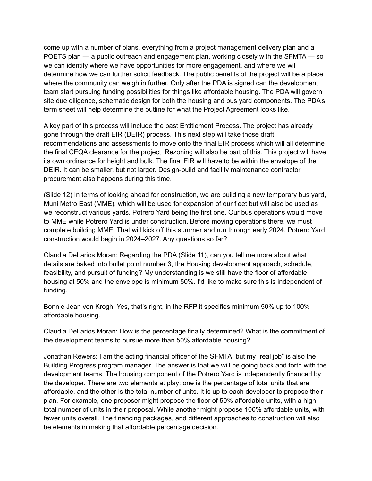come up with a number of plans, everything from a project management delivery plan and a POETS plan — a public outreach and engagement plan, working closely with the SFMTA — so we can identify where we have opportunities for more engagement, and where we will determine how we can further solicit feedback. The public benefits of the project will be a place where the community can weigh in further. Only after the PDA is signed can the development team start pursuing funding possibilities for things like affordable housing. The PDA will govern site due diligence, schematic design for both the housing and bus yard components. The PDA's term sheet will help determine the outline for what the Project Agreement looks like.

A key part of this process will include the past Entitlement Process. The project has already gone through the draft EIR (DEIR) process. This next step will take those draft recommendations and assessments to move onto the final EIR process which will all determine the final CEQA clearance for the project. Rezoning will also be part of this. This project will have its own ordinance for height and bulk. The final EIR will have to be within the envelope of the DEIR. It can be smaller, but not larger. Design-build and facility maintenance contractor procurement also happens during this time.

(Slide 12) In terms of looking ahead for construction, we are building a new temporary bus yard, Muni Metro East (MME), which will be used for expansion of our fleet but will also be used as we reconstruct various yards. Potrero Yard being the first one. Our bus operations would move to MME while Potrero Yard is under construction. Before moving operations there, we must complete building MME. That will kick off this summer and run through early 2024. Potrero Yard construction would begin in 2024–2027. Any questions so far?

Claudia DeLarios Moran: Regarding the PDA (Slide 11), can you tell me more about what details are baked into bullet point number 3, the Housing development approach, schedule, feasibility, and pursuit of funding? My understanding is we still have the floor of affordable housing at 50% and the envelope is minimum 50%. I'd like to make sure this is independent of funding.

Bonnie Jean von Krogh: Yes, that's right, in the RFP it specifies minimum 50% up to 100% affordable housing.

Claudia DeLarios Moran: How is the percentage finally determined? What is the commitment of the development teams to pursue more than 50% affordable housing?

Jonathan Rewers: I am the acting financial officer of the SFMTA, but my "real job" is also the Building Progress program manager. The answer is that we will be going back and forth with the development teams. The housing component of the Potrero Yard is independently financed by the developer. There are two elements at play: one is the percentage of total units that are affordable, and the other is the total number of units. It is up to each developer to propose their plan. For example, one proposer might propose the floor of 50% affordable units, with a high total number of units in their proposal. While another might propose 100% affordable units, with fewer units overall. The financing packages, and different approaches to construction will also be elements in making that affordable percentage decision.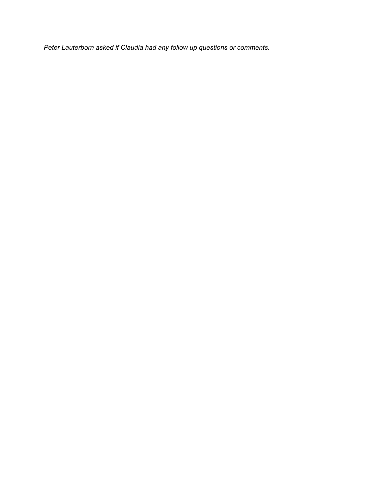*Peter Lauterborn asked if Claudia had any follow up questions or comments.*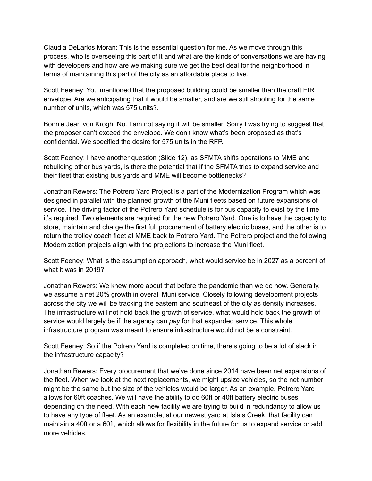Claudia DeLarios Moran: This is the essential question for me. As we move through this process, who is overseeing this part of it and what are the kinds of conversations we are having with developers and how are we making sure we get the best deal for the neighborhood in terms of maintaining this part of the city as an affordable place to live.

Scott Feeney: You mentioned that the proposed building could be smaller than the draft EIR envelope. Are we anticipating that it would be smaller, and are we still shooting for the same number of units, which was 575 units?.

Bonnie Jean von Krogh: No. I am not saying it will be smaller. Sorry I was trying to suggest that the proposer can't exceed the envelope. We don't know what's been proposed as that's confidential. We specified the desire for 575 units in the RFP.

Scott Feeney: I have another question (Slide 12), as SFMTA shifts operations to MME and rebuilding other bus yards, is there the potential that if the SFMTA tries to expand service and their fleet that existing bus yards and MME will become bottlenecks?

Jonathan Rewers: The Potrero Yard Project is a part of the Modernization Program which was designed in parallel with the planned growth of the Muni fleets based on future expansions of service. The driving factor of the Potrero Yard schedule is for bus capacity to exist by the time it's required. Two elements are required for the new Potrero Yard. One is to have the capacity to store, maintain and charge the first full procurement of battery electric buses, and the other is to return the trolley coach fleet at MME back to Potrero Yard. The Potrero project and the following Modernization projects align with the projections to increase the Muni fleet.

Scott Feeney: What is the assumption approach, what would service be in 2027 as a percent of what it was in 2019?

Jonathan Rewers: We knew more about that before the pandemic than we do now. Generally, we assume a net 20% growth in overall Muni service. Closely following development projects across the city we will be tracking the eastern and southeast of the city as density increases. The infrastructure will not hold back the growth of service, what would hold back the growth of service would largely be if the agency can *pay* for that expanded service. This whole infrastructure program was meant to ensure infrastructure would not be a constraint.

Scott Feeney: So if the Potrero Yard is completed on time, there's going to be a lot of slack in the infrastructure capacity?

Jonathan Rewers: Every procurement that we've done since 2014 have been net expansions of the fleet. When we look at the next replacements, we might upsize vehicles, so the net number might be the same but the size of the vehicles would be larger. As an example, Potrero Yard allows for 60ft coaches. We will have the ability to do 60ft or 40ft battery electric buses depending on the need. With each new facility we are trying to build in redundancy to allow us to have any type of fleet. As an example, at our newest yard at Islais Creek, that facility can maintain a 40ft or a 60ft, which allows for flexibility in the future for us to expand service or add more vehicles.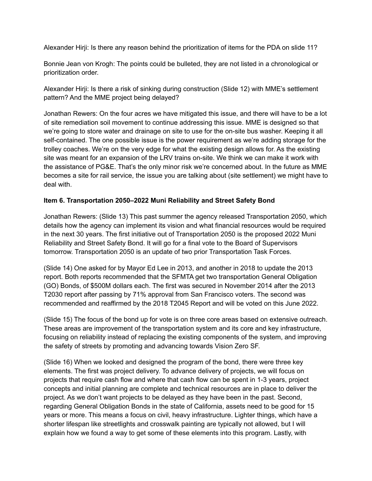Alexander Hirji: Is there any reason behind the prioritization of items for the PDA on slide 11?

Bonnie Jean von Krogh: The points could be bulleted, they are not listed in a chronological or prioritization order.

Alexander Hirji: Is there a risk of sinking during construction (Slide 12) with MME's settlement pattern? And the MME project being delayed?

Jonathan Rewers: On the four acres we have mitigated this issue, and there will have to be a lot of site remediation soil movement to continue addressing this issue. MME is designed so that we're going to store water and drainage on site to use for the on-site bus washer. Keeping it all self-contained. The one possible issue is the power requirement as we're adding storage for the trolley coaches. We're on the very edge for what the existing design allows for. As the existing site was meant for an expansion of the LRV trains on-site. We think we can make it work with the assistance of PG&E. That's the only minor risk we're concerned about. In the future as MME becomes a site for rail service, the issue you are talking about (site settlement) we might have to deal with.

# **Item 6. Transportation 2050–2022 Muni Reliability and Street Safety Bond**

Jonathan Rewers: (Slide 13) This past summer the agency released Transportation 2050, which details how the agency can implement its vision and what financial resources would be required in the next 30 years. The first initiative out of Transportation 2050 is the proposed 2022 Muni Reliability and Street Safety Bond. It will go for a final vote to the Board of Supervisors tomorrow. Transportation 2050 is an update of two prior Transportation Task Forces.

(Slide 14) One asked for by Mayor Ed Lee in 2013, and another in 2018 to update the 2013 report. Both reports recommended that the SFMTA get two transportation General Obligation (GO) Bonds, of \$500M dollars each. The first was secured in November 2014 after the 2013 T2030 report after passing by 71% approval from San Francisco voters. The second was recommended and reaffirmed by the 2018 T2045 Report and will be voted on this June 2022.

(Slide 15) The focus of the bond up for vote is on three core areas based on extensive outreach. These areas are improvement of the transportation system and its core and key infrastructure, focusing on reliability instead of replacing the existing components of the system, and improving the safety of streets by promoting and advancing towards Vision Zero SF.

(Slide 16) When we looked and designed the program of the bond, there were three key elements. The first was project delivery. To advance delivery of projects, we will focus on projects that require cash flow and where that cash flow can be spent in 1-3 years, project concepts and initial planning are complete and technical resources are in place to deliver the project. As we don't want projects to be delayed as they have been in the past. Second, regarding General Obligation Bonds in the state of California, assets need to be good for 15 years or more. This means a focus on civil, heavy infrastructure. Lighter things, which have a shorter lifespan like streetlights and crosswalk painting are typically not allowed, but I will explain how we found a way to get some of these elements into this program. Lastly, with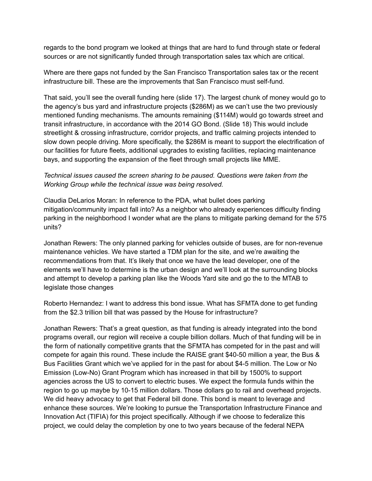regards to the bond program we looked at things that are hard to fund through state or federal sources or are not significantly funded through transportation sales tax which are critical.

Where are there gaps not funded by the San Francisco Transportation sales tax or the recent infrastructure bill. These are the improvements that San Francisco must self-fund.

That said, you'll see the overall funding here (slide 17). The largest chunk of money would go to the agency's bus yard and infrastructure projects (\$286M) as we can't use the two previously mentioned funding mechanisms. The amounts remaining (\$114M) would go towards street and transit infrastructure, in accordance with the 2014 GO Bond. (Slide 18) This would include streetlight & crossing infrastructure, corridor projects, and traffic calming projects intended to slow down people driving. More specifically, the \$286M is meant to support the electrification of our facilities for future fleets, additional upgrades to existing facilities, replacing maintenance bays, and supporting the expansion of the fleet through small projects like MME.

# *Technical issues caused the screen sharing to be paused. Questions were taken from the Working Group while the technical issue was being resolved.*

Claudia DeLarios Moran: In reference to the PDA, what bullet does parking mitigation/community impact fall into? As a neighbor who already experiences difficulty finding parking in the neighborhood I wonder what are the plans to mitigate parking demand for the 575 units?

Jonathan Rewers: The only planned parking for vehicles outside of buses, are for non-revenue maintenance vehicles. We have started a TDM plan for the site, and we're awaiting the recommendations from that. It's likely that once we have the lead developer, one of the elements we'll have to determine is the urban design and we'll look at the surrounding blocks and attempt to develop a parking plan like the Woods Yard site and go the to the MTAB to legislate those changes

Roberto Hernandez: I want to address this bond issue. What has SFMTA done to get funding from the \$2.3 trillion bill that was passed by the House for infrastructure?

Jonathan Rewers: That's a great question, as that funding is already integrated into the bond programs overall, our region will receive a couple billion dollars. Much of that funding will be in the form of nationally competitive grants that the SFMTA has competed for in the past and will compete for again this round. These include the RAISE grant \$40-50 million a year, the Bus & Bus Facilities Grant which we've applied for in the past for about \$4-5 million. The Low or No Emission (Low-No) Grant Program which has increased in that bill by 1500% to support agencies across the US to convert to electric buses. We expect the formula funds within the region to go up maybe by 10-15 million dollars. Those dollars go to rail and overhead projects. We did heavy advocacy to get that Federal bill done. This bond is meant to leverage and enhance these sources. We're looking to pursue the Transportation Infrastructure Finance and Innovation Act (TIFIA) for this project specifically. Although if we choose to federalize this project, we could delay the completion by one to two years because of the federal NEPA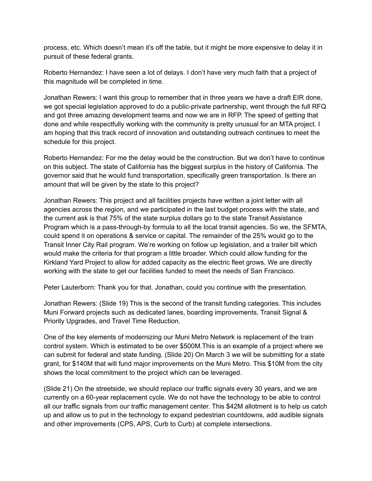process, etc. Which doesn't mean it's off the table, but it might be more expensive to delay it in pursuit of these federal grants.

Roberto Hernandez: I have seen a lot of delays. I don't have very much faith that a project of this magnitude will be completed in time.

Jonathan Rewers: I want this group to remember that in three years we have a draft EIR done, we got special legislation approved to do a public-private partnership, went through the full RFQ and got three amazing development teams and now we are in RFP. The speed of getting that done and while respectfully working with the community is pretty unusual for an MTA project. I am hoping that this track record of innovation and outstanding outreach continues to meet the schedule for this project.

Roberto Hernandez: For me the delay would be the construction. But we don't have to continue on this subject. The state of California has the biggest surplus in the history of California. The governor said that he would fund transportation, specifically green transportation. Is there an amount that will be given by the state to this project?

Jonathan Rewers: This project and all facilities projects have written a joint letter with all agencies across the region, and we participated in the last budget process with the state, and the current ask is that 75% of the state surplus dollars go to the state Transit Assistance Program which is a pass-through-by formula to all the local transit agencies. So we, the SFMTA, could spend it on operations & service or capital. The remainder of the 25% would go to the Transit Inner City Rail program. We're working on follow up legislation, and a trailer bill which would make the criteria for that program a little broader. Which could allow funding for the Kirkland Yard Project to allow for added capacity as the electric fleet grows. We are directly working with the state to get our facilities funded to meet the needs of San Francisco.

Peter Lauterborn: Thank you for that. Jonathan, could you continue with the presentation.

Jonathan Rewers: (Slide 19) This is the second of the transit funding categories. This includes Muni Forward projects such as dedicated lanes, boarding improvements, Transit Signal & Priority Upgrades, and Travel Time Reduction.

One of the key elements of modernizing our Muni Metro Network is replacement of the train control system. Which is estimated to be over \$500M.This is an example of a project where we can submit for federal and state funding. (Slide 20) On March 3 we will be submitting for a state grant, for \$140M that will fund major improvements on the Muni Metro. This \$10M from the city shows the local commitment to the project which can be leveraged.

(Slide 21) On the streetside, we should replace our traffic signals every 30 years, and we are currently on a 60-year replacement cycle. We do not have the technology to be able to control all our traffic signals from our traffic management center. This \$42M allotment is to help us catch up and allow us to put in the technology to expand pedestrian countdowns, add audible signals and other improvements (CPS, APS, Curb to Curb) at complete intersections.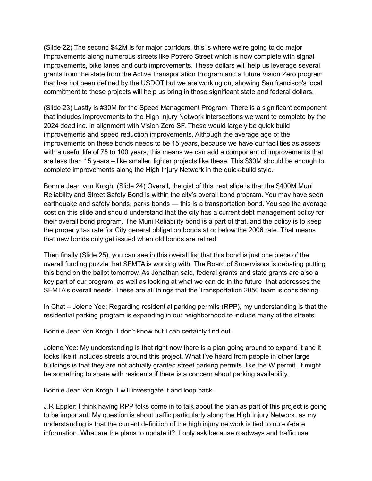(Slide 22) The second \$42M is for major corridors, this is where we're going to do major improvements along numerous streets like Potrero Street which is now complete with signal improvements, bike lanes and curb improvements. These dollars will help us leverage several grants from the state from the Active Transportation Program and a future Vision Zero program that has not been defined by the USDOT but we are working on, showing San francisco's local commitment to these projects will help us bring in those significant state and federal dollars.

(Slide 23) Lastly is #30M for the Speed Management Program. There is a significant component that includes improvements to the High Injury Network intersections we want to complete by the 2024 deadline. in alignment with Vision Zero SF. These would largely be quick build improvements and speed reduction improvements. Although the average age of the improvements on these bonds needs to be 15 years, because we have our facilities as assets with a useful life of 75 to 100 years, this means we can add a component of improvements that are less than 15 years – like smaller, lighter projects like these. This \$30M should be enough to complete improvements along the High Injury Network in the quick-build style.

Bonnie Jean von Krogh: (Slide 24) Overall, the gist of this next slide is that the \$400M Muni Reliability and Street Safety Bond is within the city's overall bond program. You may have seen earthquake and safety bonds, parks bonds — this is a transportation bond. You see the average cost on this slide and should understand that the city has a current debt management policy for their overall bond program. The Muni Reliability bond is a part of that, and the policy is to keep the property tax rate for City general obligation bonds at or below the 2006 rate. That means that new bonds only get issued when old bonds are retired.

Then finally (Slide 25), you can see in this overall list that this bond is just one piece of the overall funding puzzle that SFMTA is working with. The Board of Supervisors is debating putting this bond on the ballot tomorrow. As Jonathan said, federal grants and state grants are also a key part of our program, as well as looking at what we can do in the future that addresses the SFMTA's overall needs. These are all things that the Transportation 2050 team is considering.

In Chat – Jolene Yee: Regarding residential parking permits (RPP), my understanding is that the residential parking program is expanding in our neighborhood to include many of the streets.

Bonnie Jean von Krogh: I don't know but I can certainly find out.

Jolene Yee: My understanding is that right now there is a plan going around to expand it and it looks like it includes streets around this project. What I've heard from people in other large buildings is that they are not actually granted street parking permits, like the W permit. It might be something to share with residents if there is a concern about parking availability.

Bonnie Jean von Krogh: I will investigate it and loop back.

J.R Eppler: I think having RPP folks come in to talk about the plan as part of this project is going to be important. My question is about traffic particularly along the High Injury Network, as my understanding is that the current definition of the high injury network is tied to out-of-date information. What are the plans to update it?. I only ask because roadways and traffic use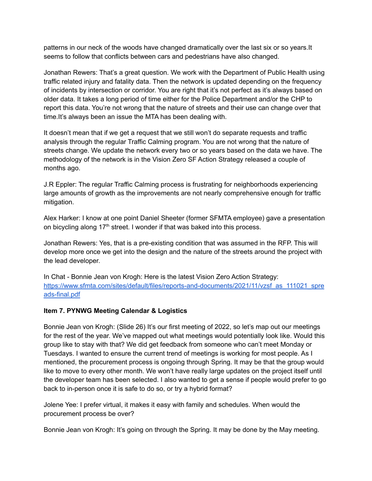patterns in our neck of the woods have changed dramatically over the last six or so years.It seems to follow that conflicts between cars and pedestrians have also changed.

Jonathan Rewers: That's a great question. We work with the Department of Public Health using traffic related injury and fatality data. Then the network is updated depending on the frequency of incidents by intersection or corridor. You are right that it's not perfect as it's always based on older data. It takes a long period of time either for the Police Department and/or the CHP to report this data. You're not wrong that the nature of streets and their use can change over that time.It's always been an issue the MTA has been dealing with.

It doesn't mean that if we get a request that we still won't do separate requests and traffic analysis through the regular Traffic Calming program. You are not wrong that the nature of streets change. We update the network every two or so years based on the data we have. The methodology of the network is in the Vision Zero SF Action Strategy released a couple of months ago.

J.R Eppler: The regular Traffic Calming process is frustrating for neighborhoods experiencing large amounts of growth as the improvements are not nearly comprehensive enough for traffic mitigation.

Alex Harker: I know at one point Daniel Sheeter (former SFMTA employee) gave a presentation on bicycling along 17<sup>th</sup> street. I wonder if that was baked into this process.

Jonathan Rewers: Yes, that is a pre-existing condition that was assumed in the RFP. This will develop more once we get into the design and the nature of the streets around the project with the lead developer.

In Chat - Bonnie Jean von Krogh: Here is the latest Vision Zero Action Strategy: [https://www.sfmta.com/sites/default/files/reports-and-documents/2021/11/vzsf\\_as\\_111021\\_spre](https://www.sfmta.com/sites/default/files/reports-and-documents/2021/11/vzsf_as_111021_spreads-final.pdf) [ads-final.pdf](https://www.sfmta.com/sites/default/files/reports-and-documents/2021/11/vzsf_as_111021_spreads-final.pdf)

### **Item 7. PYNWG Meeting Calendar & Logistics**

Bonnie Jean von Krogh: (Slide 26) It's our first meeting of 2022, so let's map out our meetings for the rest of the year. We've mapped out what meetings would potentially look like. Would this group like to stay with that? We did get feedback from someone who can't meet Monday or Tuesdays. I wanted to ensure the current trend of meetings is working for most people. As I mentioned, the procurement process is ongoing through Spring. It may be that the group would like to move to every other month. We won't have really large updates on the project itself until the developer team has been selected. I also wanted to get a sense if people would prefer to go back to in-person once it is safe to do so, or try a hybrid format?

Jolene Yee: I prefer virtual, it makes it easy with family and schedules. When would the procurement process be over?

Bonnie Jean von Krogh: It's going on through the Spring. It may be done by the May meeting.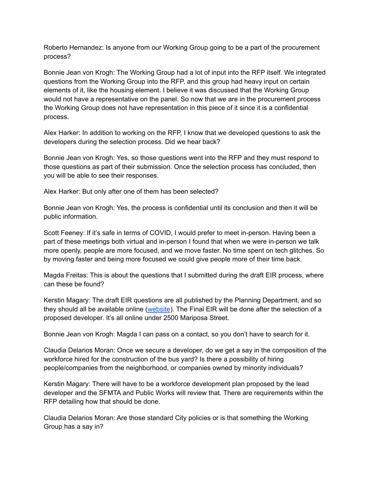Roberto Hernandez: Is anyone from our Working Group going to be a part of the procurement process?

Bonnie Jean von Krogh: The Working Group had a lot of input into the RFP itself. We integrated questions from the Working Group into the RFP, and this group had heavy input on certain elements of it, like the housing element. I believe it was discussed that the Working Group would not have a representative on the panel. So now that we are in the procurement process the Working Group does not have representation in this piece of it since it is a confidential process.

Alex Harker: In addition to working on the RFP, I know that we developed questions to ask the developers during the selection process. Did we hear back?

Bonnie Jean von Krogh: Yes, so those questions went into the RFP and they must respond to those questions as part of their submission. Once the selection process has concluded, then you will be able to see their responses.

Alex Harker: But only after one of them has been selected?

Bonnie Jean von Krogh: Yes, the process is confidential until its conclusion and then it will be public information.

Scott Feeney: If it's safe in terms of COVID, I would prefer to meet in-person. Having been a part of these meetings both virtual and in-person I found that when we were in-person we talk more openly, people are more focused, and we move faster. No time spent on tech glitches. So by moving faster and being more focused we could give people more of their time back.

Magda Freitas: This is about the questions that I submitted during the draft EIR process, where can these be found?

Kerstin Magary: The draft EIR questions are all published by the Planning Department, and so they should all be available online [\(website](https://sfplanning.org/environmental-review-documents)). The Final EIR will be done after the selection of a proposed developer. It's all online under 2500 Mariposa Street.

Bonnie Jean von Krogh: Magda I can pass on a contact, so you don't have to search for it.

Claudia Delarios Moran: Once we secure a developer, do we get a say in the composition of the workforce hired for the construction of the bus yard? Is there a possibility of hiring people/companies from the neighborhood, or companies owned by minority individuals?

Kerstin Magary: There will have to be a workforce development plan proposed by the lead developer and the SFMTA and Public Works will review that. There are requirements within the RFP detailing how that should be done.

Claudia Delarios Moran: Are those standard City policies or is that something the Working Group has a say in?